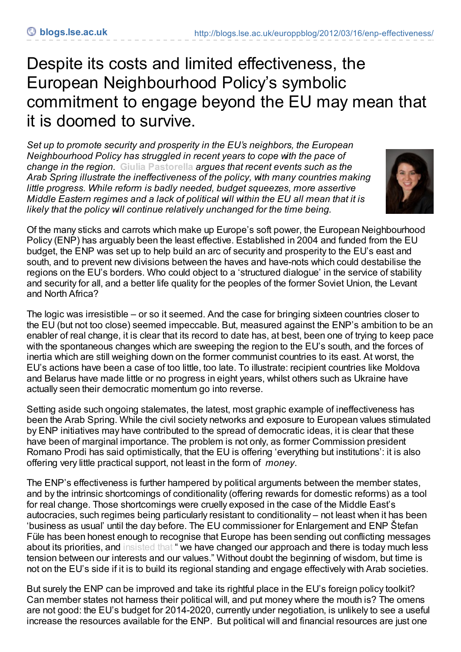## Despite its costs and limited effectiveness, the European Neighbourhood Policy's symbolic commitment to engage beyond the EU may mean that it is doomed to survive.

*Set up to promote security and prosperity in the EU's neighbors, the European Neighbourhood Policy has struggled in recent years to cope with the pace of change in the region.* **Giulia [Pastorella](http://blogs.lse.ac.uk/europpblog/?p=1018#Author)** *argues that recent events such as the Arab Spring illustrate the ineffectiveness of the policy, with many countries making little progress. While reform is badly needed, budget squeezes, more assertive Middle Eastern regimes and a lack of political will within the EU all mean that it is likely that the policy will continue relatively unchanged for the time being.*



Of the many sticks and carrots which make up Europe's soft power, the European Neighbourhood Policy (ENP) has arguably been the least effective. Established in 2004 and funded from the EU budget, the ENP was set up to help build an arc of security and prosperity to the EU's east and south, and to prevent new divisions between the haves and have-nots which could destabilise the regions on the EU's borders. Who could object to a 'structured dialogue' in the service of stability and security for all, and a better life quality for the peoples of the former Soviet Union, the Levant and North Africa?

The logic was irresistible – or so it seemed. And the case for bringing sixteen countries closer to the EU (but not too close) seemed impeccable. But, measured against the ENP's ambition to be an enabler of real change, it is clear that its record to date has, at best, been one of trying to keep pace with the spontaneous changes which are sweeping the region to the EU's south, and the forces of inertia which are still weighing down on the former communist countries to its east. At worst, the EU's actions have been a case of too little, too late. To illustrate: recipient countries like Moldova and Belarus have made little or no progress in eight years, whilst others such as Ukraine have actually seen their democratic momentum go into reverse.

Setting aside such ongoing stalemates, the latest, most graphic example of ineffectiveness has been the Arab Spring. While the civil society networks and exposure to European values stimulated by ENP initiatives may have contributed to the spread of democratic ideas, it is clear that these have been of marginal importance. The problem is not only, as former Commission president Romano Prodi has said optimistically, that the EU is offering 'everything but institutions': it is also offering very little practical support, not least in the form of *money*.

The ENP's effectiveness is further hampered by political arguments between the member states, and by the intrinsic shortcomings of conditionality (offering rewards for domestic reforms) as a tool for real change. Those shortcomings were cruelly exposed in the case of the Middle East's autocracies, such regimes being particularly resistant to conditionality – not least when it has been 'business as usual' until the day before. The EU commissioner for Enlargement and ENP Štefan Füle has been honest enough to recognise that Europe has been sending out conflicting messages about its priorities, and [insisted](http://europa.eu/rapid/pressReleasesAction.do?reference=SPEECH/12/66&format=HTML&aged=0&language=EN&guiLanguage=fr) that " we have changed our approach and there is today much less tension between our interests and our values." Without doubt the beginning of wisdom, but time is not on the EU's side if it is to build its regional standing and engage effectively with Arab societies.

But surely the ENP can be improved and take its rightful place in the EU's foreign policy toolkit? Can member states not harness their political will, and put money where the mouth is? The omens are not good: the EU's budget for 2014-2020, currently under negotiation, is unlikely to see a useful increase the resources available for the ENP. But political will and financial resources are just one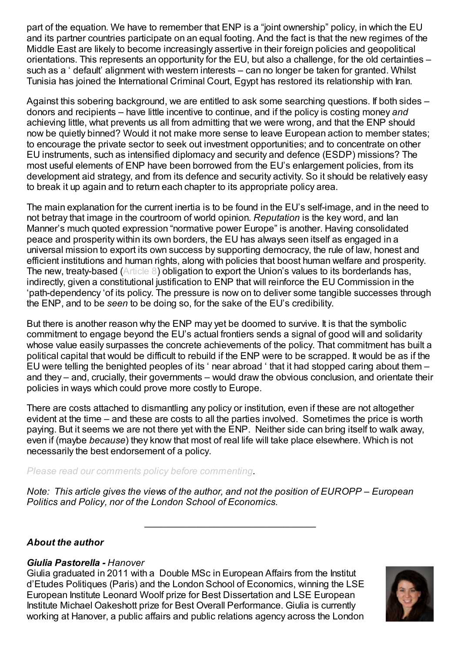part of the equation. We have to remember that ENP is a "joint ownership" policy, in which the EU and its partner countries participate on an equal footing. And the fact is that the new regimes of the Middle East are likely to become increasingly assertive in their foreign policies and geopolitical orientations. This represents an opportunity for the EU, but also a challenge, for the old certainties – such as a ' default' alignment with western interests – can no longer be taken for granted. Whilst Tunisia has joined the International Criminal Court, Egypt has restored its relationship with Iran.

Against this sobering background, we are entitled to ask some searching questions. If both sides – donors and recipients – have little incentive to continue, and if the policy is costing money *and* achieving little, what prevents us all from admitting that we were wrong, and that the ENP should now be quietly binned? Would it not make more sense to leave European action to member states; to encourage the private sector to seek out investment opportunities; and to concentrate on other EU instruments, such as intensified diplomacy and security and defence (ESDP) missions? The most useful elements of ENP have been borrowed from the EU's enlargement policies, from its development aid strategy, and from its defence and security activity. So it should be relatively easy to break it up again and to return each chapter to its appropriate policy area.

The main explanation for the current inertia is to be found in the EU's self-image, and in the need to not betray that image in the courtroom of world opinion. *Reputation* is the key word, and Ian Manner's much quoted expression "normative power Europe" is another. Having consolidated peace and prosperity within its own borders, the EU has always seen itself as engaged in a universal mission to export its own success by supporting democracy, the rule of law, honest and efficient institutions and human rights, along with policies that boost human welfare and prosperity. The new, treaty-based [\(Article](http://eur-lex.europa.eu/LexUriServ/LexUriServ.do?uri=OJ:C:2008:115:0013:0045:EN:PDF) 8) obligation to export the Union's values to its borderlands has, indirectly, given a constitutional justification to ENP that will reinforce the EU Commission in the 'path-dependency 'of its policy. The pressure is now on to deliver some tangible successes through the ENP, and to be *seen* to be doing so, for the sake of the EU's credibility.

But there is another reason why the ENP may yet be doomed to survive. It is that the symbolic commitment to engage beyond the EU's actual frontiers sends a signal of good will and solidarity whose value easily surpasses the concrete achievements of the policy. That commitment has built a political capital that would be difficult to rebuild if the ENP were to be scrapped. It would be as if the EU were telling the benighted peoples of its ' near abroad ' that it had stopped caring about them – and they – and, crucially, their governments – would draw the obvious conclusion, and orientate their policies in ways which could prove more costly to Europe.

There are costs attached to dismantling any policy or institution, even if these are not altogether evident at the time – and these are costs to all the parties involved. Sometimes the price is worth paying. But it seems we are not there yet with the ENP. Neither side can bring itself to walk away, even if (maybe *because*) they know that most of real life will take place elsewhere. Which is not necessarily the best endorsement of a policy.

*Please read our comments policy before [commenting](http://blogs.lse.ac.uk/europpblog/about/comments-policy/).*

*Note: This article gives the views of the author, and not the position of EUROPP – European Politics and Policy, nor of the London School of Economics.*

 $\mathcal{L}_\text{max}$  , and the set of the set of the set of the set of the set of the set of the set of the set of the set of the set of the set of the set of the set of the set of the set of the set of the set of the set of the

## *About the author*

## *Giulia Pastorella - Hanover*

Giulia graduated in 2011 with a Double MSc in European Affairs from the Institut d'Etudes Politiques (Paris) and the London School of Economics, winning the LSE European Institute Leonard Woolf prize for Best Dissertation and LSE European Institute Michael Oakeshott prize for Best Overall Performance. Giulia is currently working at Hanover, a public affairs and public relations agency across the London